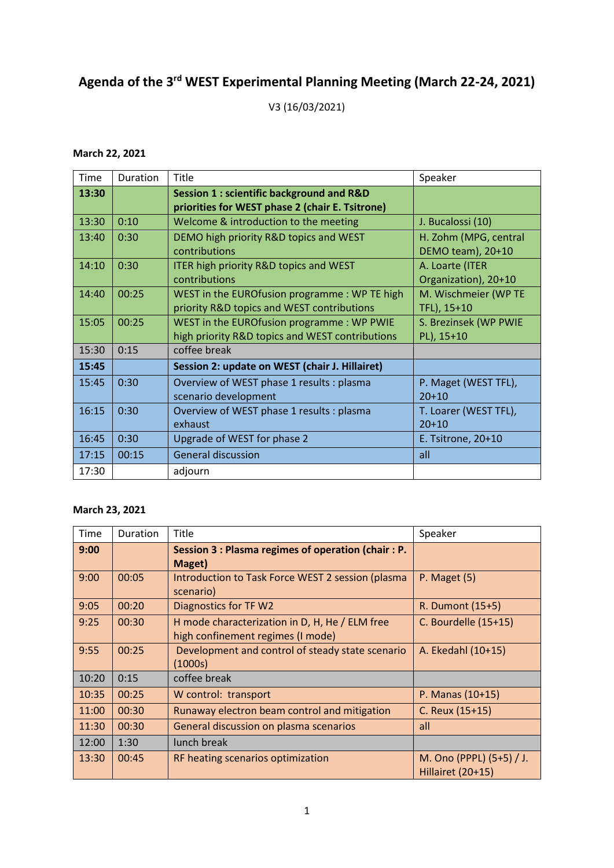## **Agenda of the 3rd WEST Experimental Planning Meeting (March 22-24, 2021)**

V3 (16/03/2021)

## **March 22, 2021**

| Time  | Duration | Title                                                                                                  | Speaker                                    |
|-------|----------|--------------------------------------------------------------------------------------------------------|--------------------------------------------|
| 13:30 |          | <b>Session 1: scientific background and R&amp;D</b><br>priorities for WEST phase 2 (chair E. Tsitrone) |                                            |
| 13:30 | 0:10     | Welcome & introduction to the meeting                                                                  | J. Bucalossi (10)                          |
| 13:40 | 0:30     | DEMO high priority R&D topics and WEST<br>contributions                                                | H. Zohm (MPG, central<br>DEMO team), 20+10 |
| 14:10 | 0:30     | ITER high priority R&D topics and WEST<br>contributions                                                | A. Loarte (ITER<br>Organization), 20+10    |
| 14:40 | 00:25    | WEST in the EUROfusion programme: WP TE high<br>priority R&D topics and WEST contributions             | M. Wischmeier (WP TE<br>TFL), 15+10        |
| 15:05 | 00:25    | WEST in the EUROfusion programme: WP PWIE<br>high priority R&D topics and WEST contributions           | S. Brezinsek (WP PWIE<br>PL), 15+10        |
| 15:30 | 0:15     | coffee break                                                                                           |                                            |
| 15:45 |          | Session 2: update on WEST (chair J. Hillairet)                                                         |                                            |
| 15:45 | 0:30     | Overview of WEST phase 1 results : plasma<br>scenario development                                      | P. Maget (WEST TFL),<br>$20+10$            |
| 16:15 | 0:30     | Overview of WEST phase 1 results : plasma<br>exhaust                                                   | T. Loarer (WEST TFL),<br>$20+10$           |
| 16:45 | 0:30     | Upgrade of WEST for phase 2                                                                            | E. Tsitrone, 20+10                         |
| 17:15 | 00:15    | <b>General discussion</b>                                                                              | all                                        |
| 17:30 |          | adjourn                                                                                                |                                            |

## **March 23, 2021**

| Time  | Duration | Title                                                                               | Speaker                                              |
|-------|----------|-------------------------------------------------------------------------------------|------------------------------------------------------|
| 9:00  |          | Session 3 : Plasma regimes of operation (chair : P.<br>Maget)                       |                                                      |
| 9:00  | 00:05    | Introduction to Task Force WEST 2 session (plasma<br>scenario)                      | $P.$ Maget $(5)$                                     |
| 9:05  | 00:20    | Diagnostics for TF W2                                                               | R. Dumont (15+5)                                     |
| 9:25  | 00:30    | H mode characterization in D, H, He / ELM free<br>high confinement regimes (I mode) | C. Bourdelle $(15+15)$                               |
| 9:55  | 00:25    | Development and control of steady state scenario<br>(1000s)                         | A. Ekedahl (10+15)                                   |
| 10:20 | 0:15     | coffee break                                                                        |                                                      |
| 10:35 | 00:25    | W control: transport                                                                | P. Manas (10+15)                                     |
| 11:00 | 00:30    | Runaway electron beam control and mitigation                                        | C. Reux (15+15)                                      |
| 11:30 | 00:30    | General discussion on plasma scenarios                                              | all                                                  |
| 12:00 | 1:30     | lunch break                                                                         |                                                      |
| 13:30 | 00:45    | RF heating scenarios optimization                                                   | M. Ono (PPPL) (5+5) / J.<br><b>Hillairet (20+15)</b> |